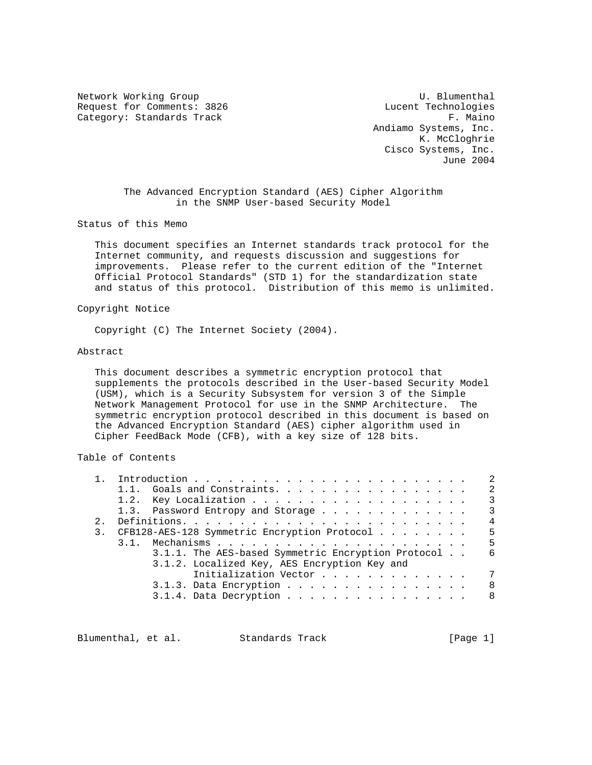Network Working Group and the U. Blumenthal Request for Comments: 3826 Lucent Technologies Category: Standards Track F. Maino

 Andiamo Systems, Inc. K. McCloghrie Cisco Systems, Inc. June 2004

 The Advanced Encryption Standard (AES) Cipher Algorithm in the SNMP User-based Security Model

Status of this Memo

 This document specifies an Internet standards track protocol for the Internet community, and requests discussion and suggestions for improvements. Please refer to the current edition of the "Internet Official Protocol Standards" (STD 1) for the standardization state and status of this protocol. Distribution of this memo is unlimited.

Copyright Notice

Copyright (C) The Internet Society (2004).

#### Abstract

 This document describes a symmetric encryption protocol that supplements the protocols described in the User-based Security Model (USM), which is a Security Subsystem for version 3 of the Simple Network Management Protocol for use in the SNMP Architecture. The symmetric encryption protocol described in this document is based on the Advanced Encryption Standard (AES) cipher algorithm used in Cipher FeedBack Mode (CFB), with a key size of 128 bits.

Table of Contents

|                                              |                                                    | 2   |
|----------------------------------------------|----------------------------------------------------|-----|
|                                              | 1.1. Goals and Constraints.                        | 2   |
|                                              |                                                    | 3   |
|                                              | 1.3. Password Entropy and Storage                  | 3   |
| 2.1                                          |                                                    | 4   |
|                                              | 3. CFB128-AES-128 Symmetric Encryption Protocol    | - 5 |
|                                              |                                                    | -5  |
|                                              | 3.1.1. The AES-based Symmetric Encryption Protocol | 6   |
| 3.1.2. Localized Key, AES Encryption Key and |                                                    |     |
|                                              | Initialization Vector                              | 7   |
|                                              | $3.1.3.$ Data Encryption                           | -8  |
|                                              | $3.1.4.$ Data Decryption                           | 8   |
|                                              |                                                    |     |

Blumenthal, et al. Standards Track [Page 1]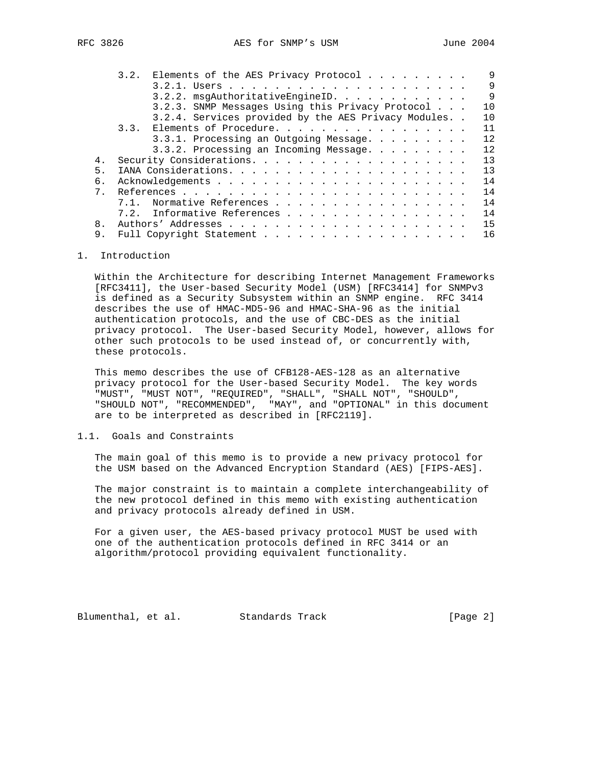|                | 9<br>3.2. Elements of the AES Privacy Protocol            |
|----------------|-----------------------------------------------------------|
|                | 9                                                         |
|                | $\overline{9}$<br>3.2.2. msqAuthoritativeEngineID.        |
|                | 3.2.3. SNMP Messages Using this Privacy Protocol<br>10    |
|                | 3.2.4. Services provided by the AES Privacy Modules<br>10 |
|                | 11<br>3.3. Elements of Procedure.                         |
|                | 12<br>3.3.1. Processing an Outgoing Message.              |
|                | 3.3.2. Processing an Incoming Message.<br>12              |
| 4.             | 13                                                        |
| 5.             | 13                                                        |
| 6.             | 14                                                        |
| 7 <sup>1</sup> | 14                                                        |
|                | 14<br>Normative References<br>7.1.                        |
|                | 14<br>7.2. Informative References                         |
| 8.             | 15                                                        |
| 9.             | 16<br>Full Copyright Statement                            |

# 1. Introduction

 Within the Architecture for describing Internet Management Frameworks [RFC3411], the User-based Security Model (USM) [RFC3414] for SNMPv3 is defined as a Security Subsystem within an SNMP engine. RFC 3414 describes the use of HMAC-MD5-96 and HMAC-SHA-96 as the initial authentication protocols, and the use of CBC-DES as the initial privacy protocol. The User-based Security Model, however, allows for other such protocols to be used instead of, or concurrently with, these protocols.

 This memo describes the use of CFB128-AES-128 as an alternative privacy protocol for the User-based Security Model. The key words "MUST", "MUST NOT", "REQUIRED", "SHALL", "SHALL NOT", "SHOULD", "SHOULD NOT", "RECOMMENDED", "MAY", and "OPTIONAL" in this document are to be interpreted as described in [RFC2119].

# 1.1. Goals and Constraints

 The main goal of this memo is to provide a new privacy protocol for the USM based on the Advanced Encryption Standard (AES) [FIPS-AES].

 The major constraint is to maintain a complete interchangeability of the new protocol defined in this memo with existing authentication and privacy protocols already defined in USM.

 For a given user, the AES-based privacy protocol MUST be used with one of the authentication protocols defined in RFC 3414 or an algorithm/protocol providing equivalent functionality.

Blumenthal, et al. Standards Track [Page 2]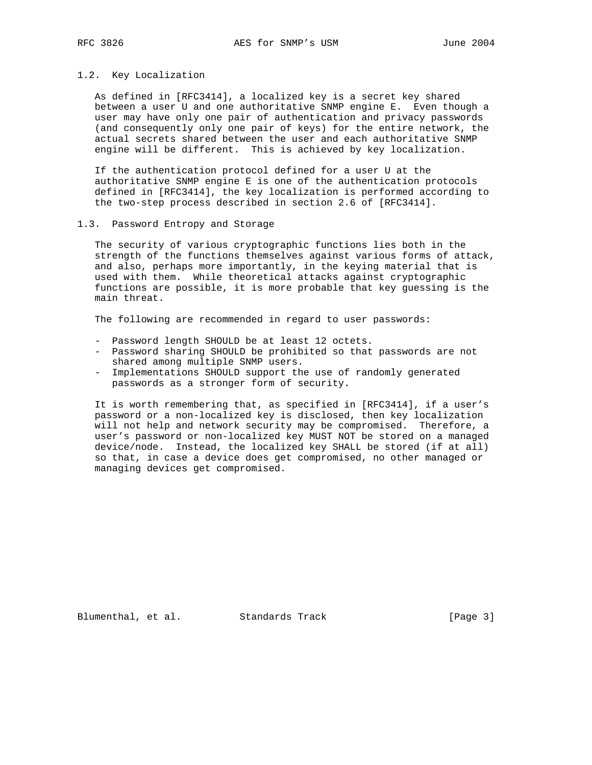#### 1.2. Key Localization

 As defined in [RFC3414], a localized key is a secret key shared between a user U and one authoritative SNMP engine E. Even though a user may have only one pair of authentication and privacy passwords (and consequently only one pair of keys) for the entire network, the actual secrets shared between the user and each authoritative SNMP engine will be different. This is achieved by key localization.

 If the authentication protocol defined for a user U at the authoritative SNMP engine E is one of the authentication protocols defined in [RFC3414], the key localization is performed according to the two-step process described in section 2.6 of [RFC3414].

# 1.3. Password Entropy and Storage

 The security of various cryptographic functions lies both in the strength of the functions themselves against various forms of attack, and also, perhaps more importantly, in the keying material that is used with them. While theoretical attacks against cryptographic functions are possible, it is more probable that key guessing is the main threat.

The following are recommended in regard to user passwords:

- Password length SHOULD be at least 12 octets.
- Password sharing SHOULD be prohibited so that passwords are not shared among multiple SNMP users.
- Implementations SHOULD support the use of randomly generated passwords as a stronger form of security.

 It is worth remembering that, as specified in [RFC3414], if a user's password or a non-localized key is disclosed, then key localization will not help and network security may be compromised. Therefore, a user's password or non-localized key MUST NOT be stored on a managed device/node. Instead, the localized key SHALL be stored (if at all) so that, in case a device does get compromised, no other managed or managing devices get compromised.

Blumenthal, et al. Standards Track [Page 3]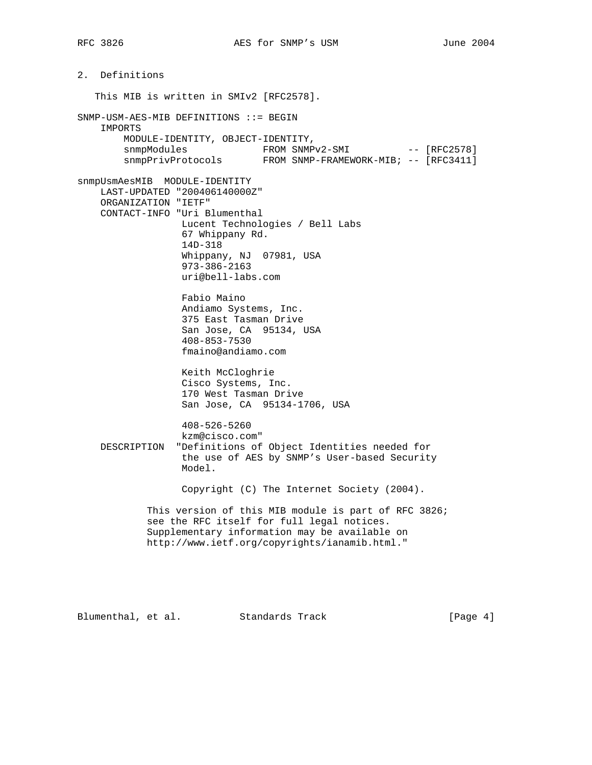2. Definitions This MIB is written in SMIv2 [RFC2578]. SNMP-USM-AES-MIB DEFINITIONS ::= BEGIN IMPORTS MODULE-IDENTITY, OBJECT-IDENTITY, snmpModules FROM SNMPv2-SMI -- [RFC2578] snmpPrivProtocols FROM SNMP-FRAMEWORK-MIB; -- [RFC3411] snmpUsmAesMIB MODULE-IDENTITY LAST-UPDATED "200406140000Z" ORGANIZATION "IETF" CONTACT-INFO "Uri Blumenthal Lucent Technologies / Bell Labs 67 Whippany Rd. 14D-318 Whippany, NJ 07981, USA 973-386-2163 uri@bell-labs.com Fabio Maino Andiamo Systems, Inc. 375 East Tasman Drive San Jose, CA 95134, USA 408-853-7530 fmaino@andiamo.com Keith McCloghrie Cisco Systems, Inc. 170 West Tasman Drive San Jose, CA 95134-1706, USA 408-526-5260 kzm@cisco.com" DESCRIPTION "Definitions of Object Identities needed for the use of AES by SNMP's User-based Security Model. Copyright (C) The Internet Society (2004). This version of this MIB module is part of RFC 3826; see the RFC itself for full legal notices. Supplementary information may be available on http://www.ietf.org/copyrights/ianamib.html."

Blumenthal, et al. Standards Track [Page 4]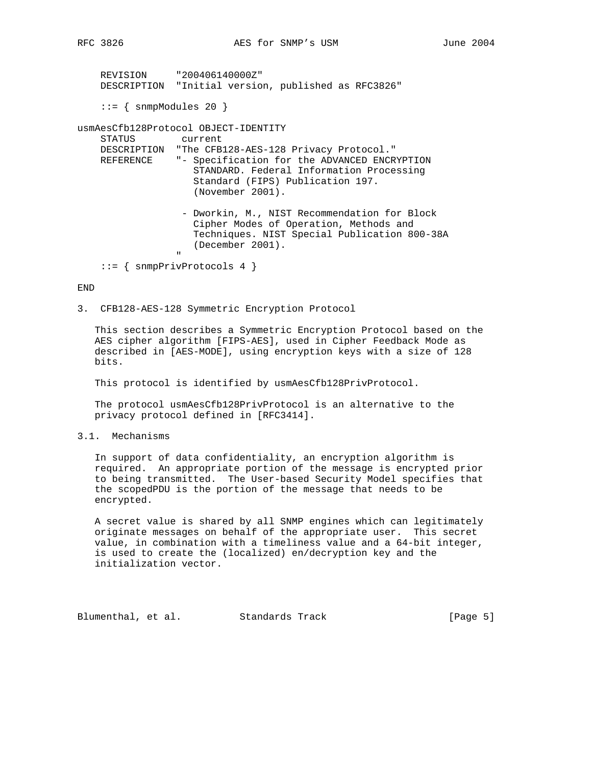REVISION "200406140000Z" DESCRIPTION "Initial version, published as RFC3826"  $::=$  { snmpModules 20 } usmAesCfb128Protocol OBJECT-IDENTITY STATUS current DESCRIPTION "The CFB128-AES-128 Privacy Protocol." REFERENCE "- Specification for the ADVANCED ENCRYPTION STANDARD. Federal Information Processing Standard (FIPS) Publication 197. (November 2001). - Dworkin, M., NIST Recommendation for Block Cipher Modes of Operation, Methods and Techniques. NIST Special Publication 800-38A (December 2001). " ::= { snmpPrivProtocols 4 }

#### END

3. CFB128-AES-128 Symmetric Encryption Protocol

 This section describes a Symmetric Encryption Protocol based on the AES cipher algorithm [FIPS-AES], used in Cipher Feedback Mode as described in [AES-MODE], using encryption keys with a size of 128 bits.

This protocol is identified by usmAesCfb128PrivProtocol.

 The protocol usmAesCfb128PrivProtocol is an alternative to the privacy protocol defined in [RFC3414].

3.1. Mechanisms

 In support of data confidentiality, an encryption algorithm is required. An appropriate portion of the message is encrypted prior to being transmitted. The User-based Security Model specifies that the scopedPDU is the portion of the message that needs to be encrypted.

 A secret value is shared by all SNMP engines which can legitimately originate messages on behalf of the appropriate user. This secret value, in combination with a timeliness value and a 64-bit integer, is used to create the (localized) en/decryption key and the initialization vector.

Blumenthal, et al. Standards Track [Page 5]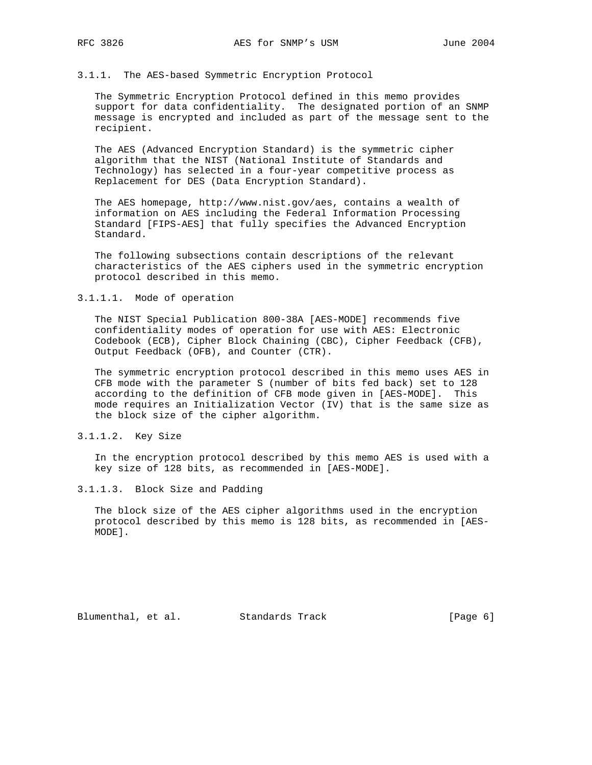#### 3.1.1. The AES-based Symmetric Encryption Protocol

 The Symmetric Encryption Protocol defined in this memo provides support for data confidentiality. The designated portion of an SNMP message is encrypted and included as part of the message sent to the recipient.

 The AES (Advanced Encryption Standard) is the symmetric cipher algorithm that the NIST (National Institute of Standards and Technology) has selected in a four-year competitive process as Replacement for DES (Data Encryption Standard).

 The AES homepage, http://www.nist.gov/aes, contains a wealth of information on AES including the Federal Information Processing Standard [FIPS-AES] that fully specifies the Advanced Encryption Standard.

 The following subsections contain descriptions of the relevant characteristics of the AES ciphers used in the symmetric encryption protocol described in this memo.

# 3.1.1.1. Mode of operation

 The NIST Special Publication 800-38A [AES-MODE] recommends five confidentiality modes of operation for use with AES: Electronic Codebook (ECB), Cipher Block Chaining (CBC), Cipher Feedback (CFB), Output Feedback (OFB), and Counter (CTR).

 The symmetric encryption protocol described in this memo uses AES in CFB mode with the parameter S (number of bits fed back) set to 128 according to the definition of CFB mode given in [AES-MODE]. This mode requires an Initialization Vector (IV) that is the same size as the block size of the cipher algorithm.

# 3.1.1.2. Key Size

 In the encryption protocol described by this memo AES is used with a key size of 128 bits, as recommended in [AES-MODE].

### 3.1.1.3. Block Size and Padding

 The block size of the AES cipher algorithms used in the encryption protocol described by this memo is 128 bits, as recommended in [AES- MODE].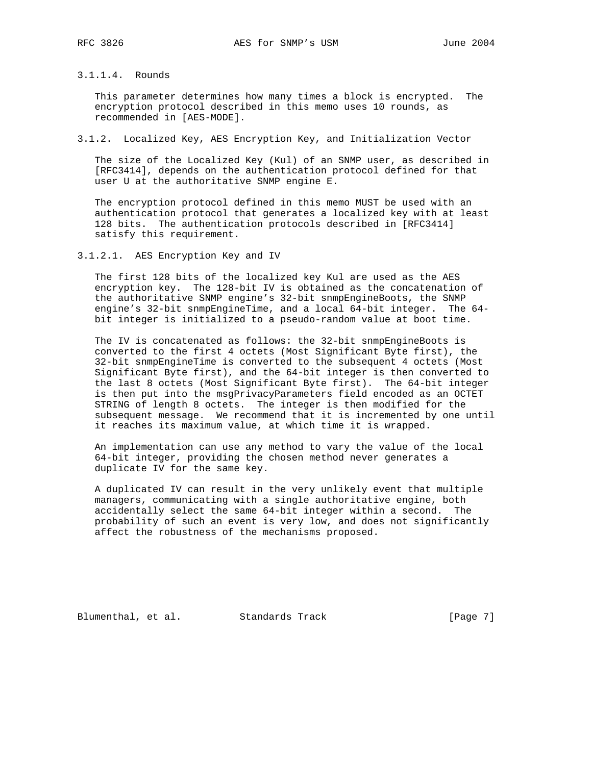# 3.1.1.4. Rounds

 This parameter determines how many times a block is encrypted. The encryption protocol described in this memo uses 10 rounds, as recommended in [AES-MODE].

# 3.1.2. Localized Key, AES Encryption Key, and Initialization Vector

 The size of the Localized Key (Kul) of an SNMP user, as described in [RFC3414], depends on the authentication protocol defined for that user U at the authoritative SNMP engine E.

 The encryption protocol defined in this memo MUST be used with an authentication protocol that generates a localized key with at least 128 bits. The authentication protocols described in [RFC3414] satisfy this requirement.

3.1.2.1. AES Encryption Key and IV

 The first 128 bits of the localized key Kul are used as the AES encryption key. The 128-bit IV is obtained as the concatenation of the authoritative SNMP engine's 32-bit snmpEngineBoots, the SNMP engine's 32-bit snmpEngineTime, and a local 64-bit integer. The 64 bit integer is initialized to a pseudo-random value at boot time.

 The IV is concatenated as follows: the 32-bit snmpEngineBoots is converted to the first 4 octets (Most Significant Byte first), the 32-bit snmpEngineTime is converted to the subsequent 4 octets (Most Significant Byte first), and the 64-bit integer is then converted to the last 8 octets (Most Significant Byte first). The 64-bit integer is then put into the msgPrivacyParameters field encoded as an OCTET STRING of length 8 octets. The integer is then modified for the subsequent message. We recommend that it is incremented by one until it reaches its maximum value, at which time it is wrapped.

 An implementation can use any method to vary the value of the local 64-bit integer, providing the chosen method never generates a duplicate IV for the same key.

 A duplicated IV can result in the very unlikely event that multiple managers, communicating with a single authoritative engine, both accidentally select the same 64-bit integer within a second. The probability of such an event is very low, and does not significantly affect the robustness of the mechanisms proposed.

Blumenthal, et al. Standards Track [Page 7]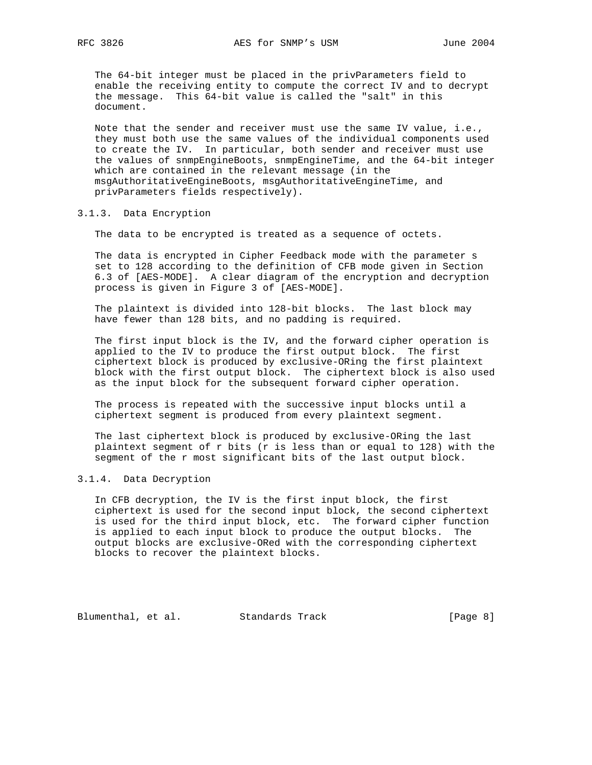The 64-bit integer must be placed in the privParameters field to enable the receiving entity to compute the correct IV and to decrypt the message. This 64-bit value is called the "salt" in this document.

 Note that the sender and receiver must use the same IV value, i.e., they must both use the same values of the individual components used to create the IV. In particular, both sender and receiver must use the values of snmpEngineBoots, snmpEngineTime, and the 64-bit integer which are contained in the relevant message (in the msgAuthoritativeEngineBoots, msgAuthoritativeEngineTime, and privParameters fields respectively).

#### 3.1.3. Data Encryption

The data to be encrypted is treated as a sequence of octets.

 The data is encrypted in Cipher Feedback mode with the parameter s set to 128 according to the definition of CFB mode given in Section 6.3 of [AES-MODE]. A clear diagram of the encryption and decryption process is given in Figure 3 of [AES-MODE].

 The plaintext is divided into 128-bit blocks. The last block may have fewer than 128 bits, and no padding is required.

 The first input block is the IV, and the forward cipher operation is applied to the IV to produce the first output block. The first ciphertext block is produced by exclusive-ORing the first plaintext block with the first output block. The ciphertext block is also used as the input block for the subsequent forward cipher operation.

 The process is repeated with the successive input blocks until a ciphertext segment is produced from every plaintext segment.

 The last ciphertext block is produced by exclusive-ORing the last plaintext segment of r bits (r is less than or equal to 128) with the segment of the r most significant bits of the last output block.

### 3.1.4. Data Decryption

 In CFB decryption, the IV is the first input block, the first ciphertext is used for the second input block, the second ciphertext is used for the third input block, etc. The forward cipher function is applied to each input block to produce the output blocks. The output blocks are exclusive-ORed with the corresponding ciphertext blocks to recover the plaintext blocks.

Blumenthal, et al. Standards Track [Page 8]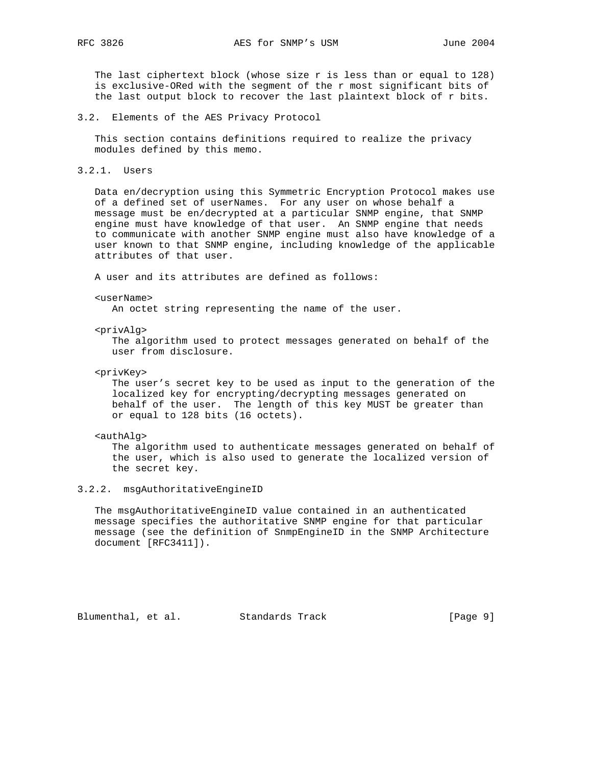The last ciphertext block (whose size r is less than or equal to 128) is exclusive-ORed with the segment of the r most significant bits of the last output block to recover the last plaintext block of r bits.

3.2. Elements of the AES Privacy Protocol

 This section contains definitions required to realize the privacy modules defined by this memo.

3.2.1. Users

 Data en/decryption using this Symmetric Encryption Protocol makes use of a defined set of userNames. For any user on whose behalf a message must be en/decrypted at a particular SNMP engine, that SNMP engine must have knowledge of that user. An SNMP engine that needs to communicate with another SNMP engine must also have knowledge of a user known to that SNMP engine, including knowledge of the applicable attributes of that user.

A user and its attributes are defined as follows:

#### <userName>

An octet string representing the name of the user.

<privAlg>

 The algorithm used to protect messages generated on behalf of the user from disclosure.

<privKey>

 The user's secret key to be used as input to the generation of the localized key for encrypting/decrypting messages generated on behalf of the user. The length of this key MUST be greater than or equal to 128 bits (16 octets).

#### <authAlg>

 The algorithm used to authenticate messages generated on behalf of the user, which is also used to generate the localized version of the secret key.

### 3.2.2. msgAuthoritativeEngineID

 The msgAuthoritativeEngineID value contained in an authenticated message specifies the authoritative SNMP engine for that particular message (see the definition of SnmpEngineID in the SNMP Architecture document [RFC3411]).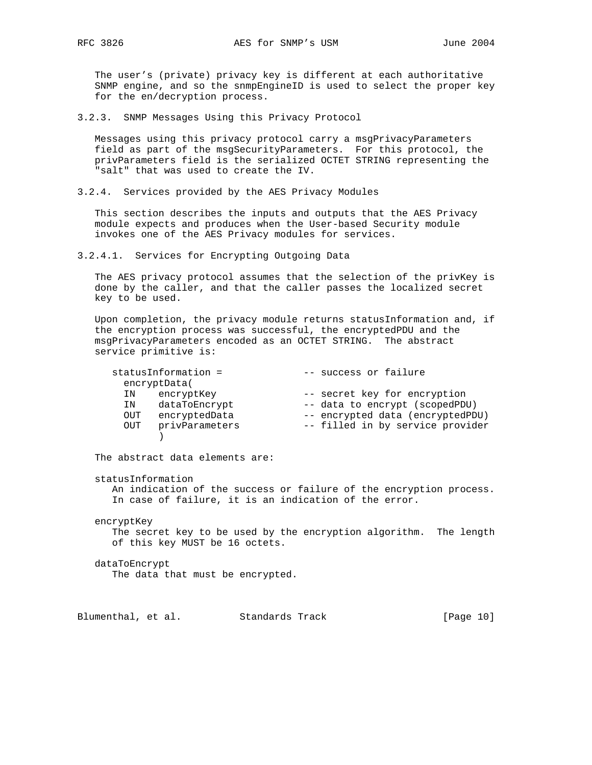The user's (private) privacy key is different at each authoritative SNMP engine, and so the snmpEngineID is used to select the proper key for the en/decryption process.

3.2.3. SNMP Messages Using this Privacy Protocol

 Messages using this privacy protocol carry a msgPrivacyParameters field as part of the msgSecurityParameters. For this protocol, the privParameters field is the serialized OCTET STRING representing the "salt" that was used to create the IV.

3.2.4. Services provided by the AES Privacy Modules

 This section describes the inputs and outputs that the AES Privacy module expects and produces when the User-based Security module invokes one of the AES Privacy modules for services.

3.2.4.1. Services for Encrypting Outgoing Data

 The AES privacy protocol assumes that the selection of the privKey is done by the caller, and that the caller passes the localized secret key to be used.

 Upon completion, the privacy module returns statusInformation and, if the encryption process was successful, the encryptedPDU and the msgPrivacyParameters encoded as an OCTET STRING. The abstract service primitive is:

| statusInformation =   | -- success or failure            |
|-----------------------|----------------------------------|
| encryptData(          |                                  |
| encryptKey<br>ΙN      | -- secret key for encryption     |
| dataToEncrypt<br>ΙN   | -- data to encrypt (scopedPDU)   |
| encryptedData<br>OUT  | -- encrypted data (encryptedPDU) |
| privParameters<br>OUT | -- filled in by service provider |
|                       |                                  |

The abstract data elements are:

statusInformation

 An indication of the success or failure of the encryption process. In case of failure, it is an indication of the error.

encryptKey

 The secret key to be used by the encryption algorithm. The length of this key MUST be 16 octets.

dataToEncrypt

The data that must be encrypted.

Blumenthal, et al. Standards Track [Page 10]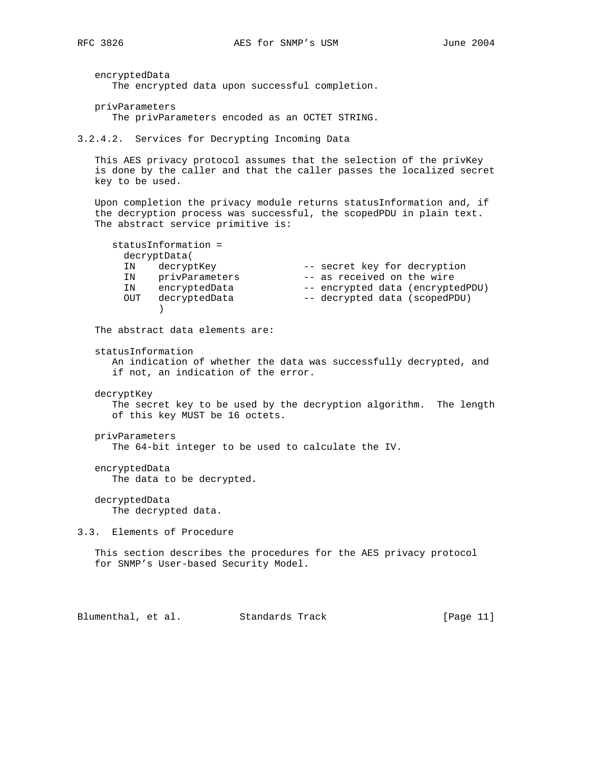encryptedData The encrypted data upon successful completion.

privParameters

The privParameters encoded as an OCTET STRING.

3.2.4.2. Services for Decrypting Incoming Data

 This AES privacy protocol assumes that the selection of the privKey is done by the caller and that the caller passes the localized secret key to be used.

 Upon completion the privacy module returns statusInformation and, if the decryption process was successful, the scopedPDU in plain text. The abstract service primitive is:

 statusInformation = decryptData( IN decryptKey -- secret key for decryption IN privParameters -- as received on the wire IN encryptedData -- encrypted data (encryptedPDU) OUT decryptedData -- decrypted data (scopedPDU) )

The abstract data elements are:

statusInformation

 An indication of whether the data was successfully decrypted, and if not, an indication of the error.

decryptKey

 The secret key to be used by the decryption algorithm. The length of this key MUST be 16 octets.

privParameters

The 64-bit integer to be used to calculate the IV.

 encryptedData The data to be decrypted.

 decryptedData The decrypted data.

3.3. Elements of Procedure

 This section describes the procedures for the AES privacy protocol for SNMP's User-based Security Model.

Blumenthal, et al. Standards Track [Page 11]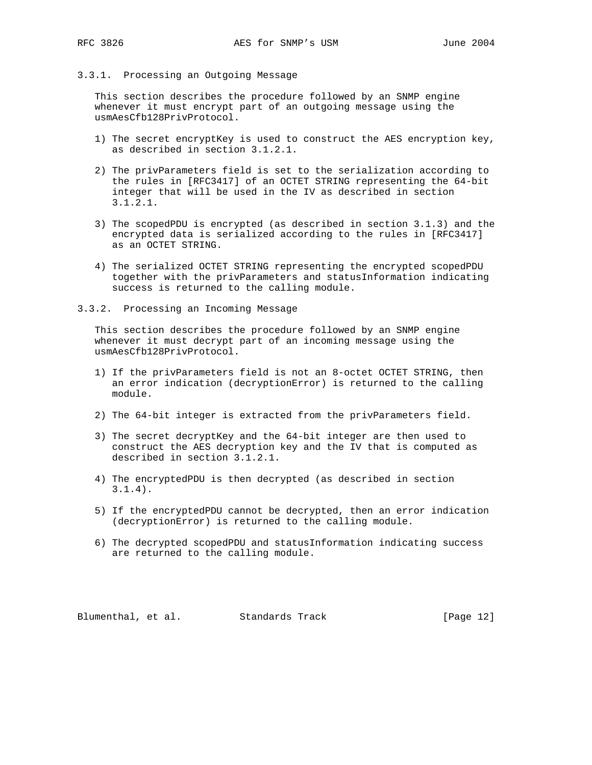## 3.3.1. Processing an Outgoing Message

 This section describes the procedure followed by an SNMP engine whenever it must encrypt part of an outgoing message using the usmAesCfb128PrivProtocol.

- 1) The secret encryptKey is used to construct the AES encryption key, as described in section 3.1.2.1.
- 2) The privParameters field is set to the serialization according to the rules in [RFC3417] of an OCTET STRING representing the 64-bit integer that will be used in the IV as described in section 3.1.2.1.
- 3) The scopedPDU is encrypted (as described in section 3.1.3) and the encrypted data is serialized according to the rules in [RFC3417] as an OCTET STRING.
- 4) The serialized OCTET STRING representing the encrypted scopedPDU together with the privParameters and statusInformation indicating success is returned to the calling module.
- 3.3.2. Processing an Incoming Message

 This section describes the procedure followed by an SNMP engine whenever it must decrypt part of an incoming message using the usmAesCfb128PrivProtocol.

- 1) If the privParameters field is not an 8-octet OCTET STRING, then an error indication (decryptionError) is returned to the calling module.
- 2) The 64-bit integer is extracted from the privParameters field.
- 3) The secret decryptKey and the 64-bit integer are then used to construct the AES decryption key and the IV that is computed as described in section 3.1.2.1.
- 4) The encryptedPDU is then decrypted (as described in section 3.1.4).
- 5) If the encryptedPDU cannot be decrypted, then an error indication (decryptionError) is returned to the calling module.
- 6) The decrypted scopedPDU and statusInformation indicating success are returned to the calling module.

Blumenthal, et al. Standards Track [Page 12]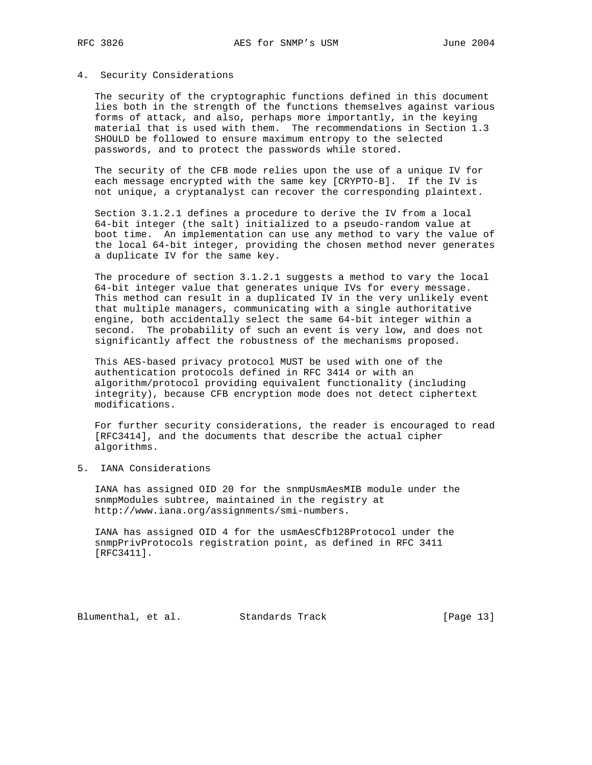#### 4. Security Considerations

 The security of the cryptographic functions defined in this document lies both in the strength of the functions themselves against various forms of attack, and also, perhaps more importantly, in the keying material that is used with them. The recommendations in Section 1.3 SHOULD be followed to ensure maximum entropy to the selected passwords, and to protect the passwords while stored.

 The security of the CFB mode relies upon the use of a unique IV for each message encrypted with the same key [CRYPTO-B]. If the IV is not unique, a cryptanalyst can recover the corresponding plaintext.

 Section 3.1.2.1 defines a procedure to derive the IV from a local 64-bit integer (the salt) initialized to a pseudo-random value at boot time. An implementation can use any method to vary the value of the local 64-bit integer, providing the chosen method never generates a duplicate IV for the same key.

 The procedure of section 3.1.2.1 suggests a method to vary the local 64-bit integer value that generates unique IVs for every message. This method can result in a duplicated IV in the very unlikely event that multiple managers, communicating with a single authoritative engine, both accidentally select the same 64-bit integer within a second. The probability of such an event is very low, and does not significantly affect the robustness of the mechanisms proposed.

 This AES-based privacy protocol MUST be used with one of the authentication protocols defined in RFC 3414 or with an algorithm/protocol providing equivalent functionality (including integrity), because CFB encryption mode does not detect ciphertext modifications.

 For further security considerations, the reader is encouraged to read [RFC3414], and the documents that describe the actual cipher algorithms.

5. IANA Considerations

 IANA has assigned OID 20 for the snmpUsmAesMIB module under the snmpModules subtree, maintained in the registry at http://www.iana.org/assignments/smi-numbers.

 IANA has assigned OID 4 for the usmAesCfb128Protocol under the snmpPrivProtocols registration point, as defined in RFC 3411 [RFC3411].

Blumenthal, et al. Standards Track [Page 13]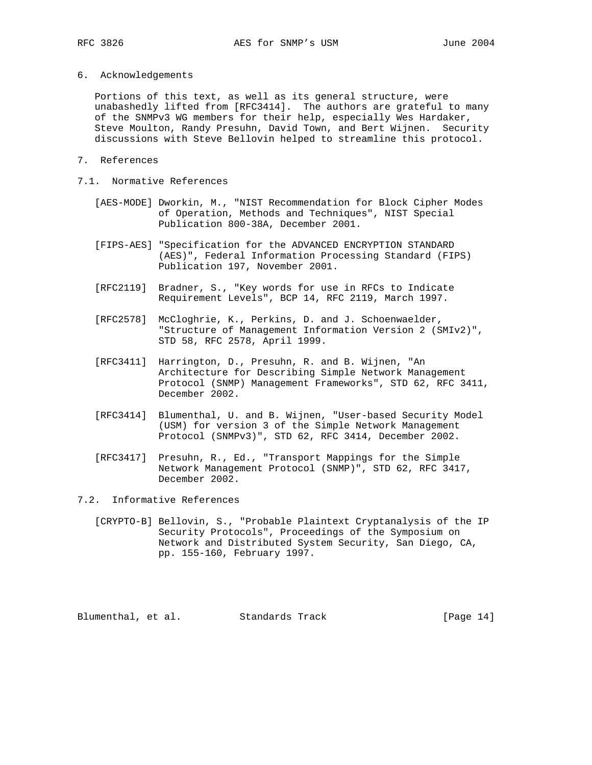6. Acknowledgements

 Portions of this text, as well as its general structure, were unabashedly lifted from [RFC3414]. The authors are grateful to many of the SNMPv3 WG members for their help, especially Wes Hardaker, Steve Moulton, Randy Presuhn, David Town, and Bert Wijnen. Security discussions with Steve Bellovin helped to streamline this protocol.

- 7. References
- 7.1. Normative References
	- [AES-MODE] Dworkin, M., "NIST Recommendation for Block Cipher Modes of Operation, Methods and Techniques", NIST Special Publication 800-38A, December 2001.
	- [FIPS-AES] "Specification for the ADVANCED ENCRYPTION STANDARD (AES)", Federal Information Processing Standard (FIPS) Publication 197, November 2001.
	- [RFC2119] Bradner, S., "Key words for use in RFCs to Indicate Requirement Levels", BCP 14, RFC 2119, March 1997.
	- [RFC2578] McCloghrie, K., Perkins, D. and J. Schoenwaelder, "Structure of Management Information Version 2 (SMIv2)", STD 58, RFC 2578, April 1999.
	- [RFC3411] Harrington, D., Presuhn, R. and B. Wijnen, "An Architecture for Describing Simple Network Management Protocol (SNMP) Management Frameworks", STD 62, RFC 3411, December 2002.
	- [RFC3414] Blumenthal, U. and B. Wijnen, "User-based Security Model (USM) for version 3 of the Simple Network Management Protocol (SNMPv3)", STD 62, RFC 3414, December 2002.
	- [RFC3417] Presuhn, R., Ed., "Transport Mappings for the Simple Network Management Protocol (SNMP)", STD 62, RFC 3417, December 2002.
- 7.2. Informative References
	- [CRYPTO-B] Bellovin, S., "Probable Plaintext Cryptanalysis of the IP Security Protocols", Proceedings of the Symposium on Network and Distributed System Security, San Diego, CA, pp. 155-160, February 1997.

Blumenthal, et al. Standards Track [Page 14]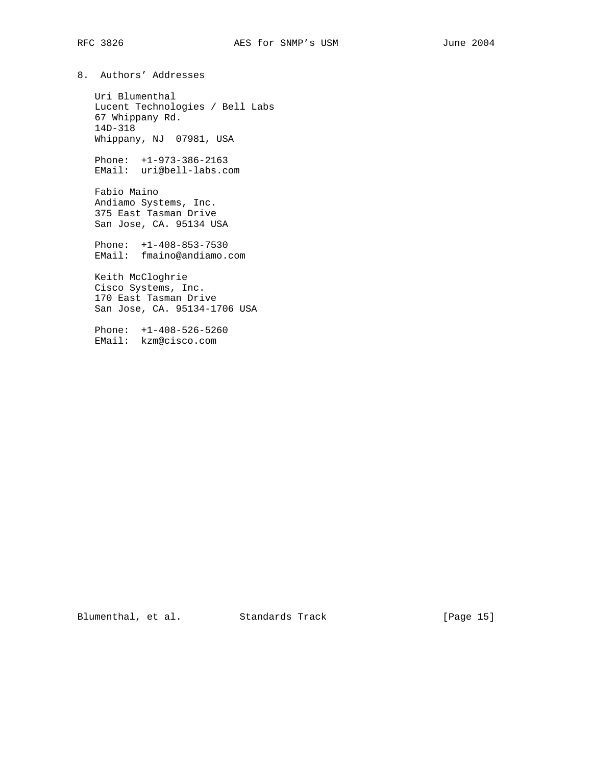8. Authors' Addresses

 Uri Blumenthal Lucent Technologies / Bell Labs 67 Whippany Rd. 14D-318 Whippany, NJ 07981, USA

 Phone: +1-973-386-2163 EMail: uri@bell-labs.com

 Fabio Maino Andiamo Systems, Inc. 375 East Tasman Drive San Jose, CA. 95134 USA

 Phone: +1-408-853-7530 EMail: fmaino@andiamo.com

 Keith McCloghrie Cisco Systems, Inc. 170 East Tasman Drive San Jose, CA. 95134-1706 USA

 Phone: +1-408-526-5260 EMail: kzm@cisco.com

Blumenthal, et al. Standards Track [Page 15]